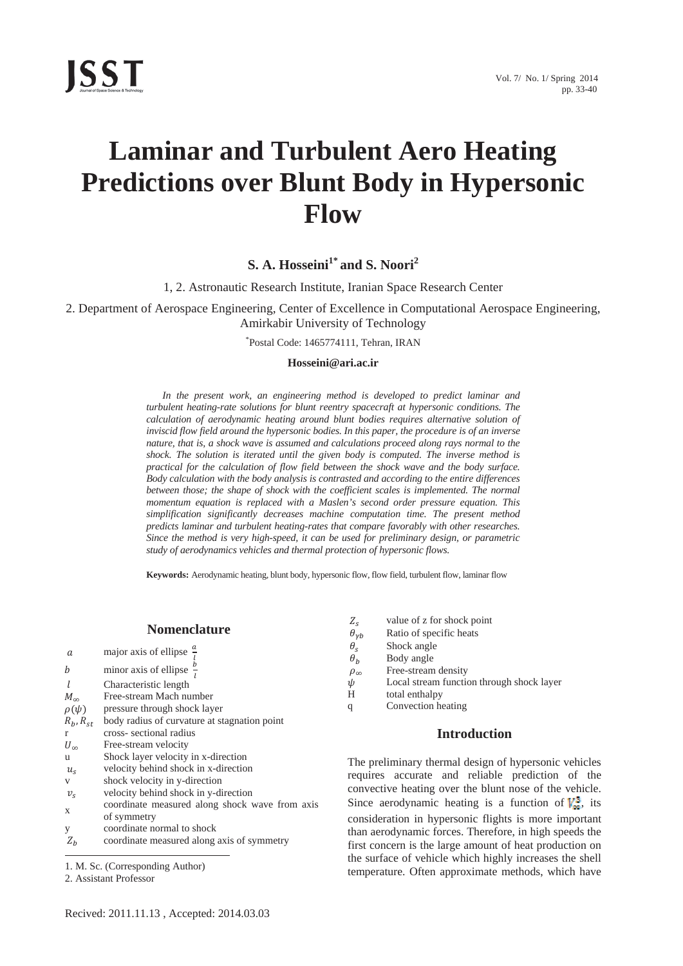# **Laminar and Turbulent Aero Heating Predictions over Blunt Body in Hypersonic Flow**

**S. A. Hosseini1\* and S. Noori<sup>2</sup>**

1, 2. Astronautic Research Institute, Iranian Space Research Center

2. Department of Aerospace Engineering, Center of Excellence in Computational Aerospace Engineering, Amirkabir University of Technology

\* Postal Code: 1465774111, Tehran, IRAN

#### **Hosseini@ari.ac.ir**

*In the present work, an engineering method is developed to predict laminar and turbulent heating-rate solutions for blunt reentry spacecraft at hypersonic conditions. The calculation of aerodynamic heating around blunt bodies requires alternative solution of inviscid flow field around the hypersonic bodies. In this paper, the procedure is of an inverse nature, that is, a shock wave is assumed and calculations proceed along rays normal to the shock. The solution is iterated until the given body is computed. The inverse method is practical for the calculation of flow field between the shock wave and the body surface. Body calculation with the body analysis is contrasted and according to the entire differences*  between those; the shape of shock with the coefficient scales is implemented. The normal *momentum equation is replaced with a Maslen's second order pressure equation. This simplification significantly decreases machine computation time. The present method predicts laminar and turbulent heating-rates that compare favorably with other researches. Since the method is very high-speed, it can be used for preliminary design, or parametric study of aerodynamics vehicles and thermal protection of hypersonic flows.* 

**Keywords:** Aerodynamic heating, blunt body, hypersonic flow, flow field, turbulent flow, laminar flow

#### **Nomenclature**

| а                | major axis of ellipse $\frac{a}{i}$                           |
|------------------|---------------------------------------------------------------|
| b                | minor axis of ellipse $\frac{b}{b}$                           |
|                  | Characteristic length                                         |
| $M_{\infty}$     | Free-stream Mach number                                       |
| $\rho(\psi)$     | pressure through shock layer                                  |
| $R_b$ , $R_{st}$ | body radius of curvature at stagnation point                  |
| r                | cross-sectional radius                                        |
| $U_{\infty}$     | Free-stream velocity                                          |
| u                | Shock layer velocity in x-direction                           |
| $u_{\rm s}$      | velocity behind shock in x-direction                          |
| V                | shock velocity in y-direction                                 |
| $v_{\rm s}$      | velocity behind shock in y-direction                          |
| X                | coordinate measured along shock wave from axis<br>of symmetry |
| y                | coordinate normal to shock                                    |
| $Z_h$            | coordinate measured along axis of symmetry                    |

 $\overline{a}$ 1. M. Sc. (Corresponding Author)

- $Z_s$  value of z for shock point<br>  $\theta_{\gamma b}$  Ratio of specific heats
- $\theta_{\gamma b}$  Ratio of specific heats<br>  $\theta_{\gamma}$  Shock angle
- 
- $\theta_s$  Shock angle<br>  $\theta_b$  Body angle
- $\theta_b$  Body angle<br>  $\rho_{\infty}$  Free-stream  $ho_{\infty}$  Free-stream density<br>  $\psi$  Local stream function
- ߰ Local stream function through shock layer
- H total enthalpy
- q Convection heating

## **Introduction**

The preliminary thermal design of hypersonic vehicles requires accurate and reliable prediction of the convective heating over the blunt nose of the vehicle. Since aerodynamic heating is a function of  $V_{\infty}^{3}$ , its consideration in hypersonic flights is more important than aerodynamic forces. Therefore, in high speeds the first concern is the large amount of heat production on the surface of vehicle which highly increases the shell temperature. Often approximate methods, which have

<sup>2.</sup> Assistant Professor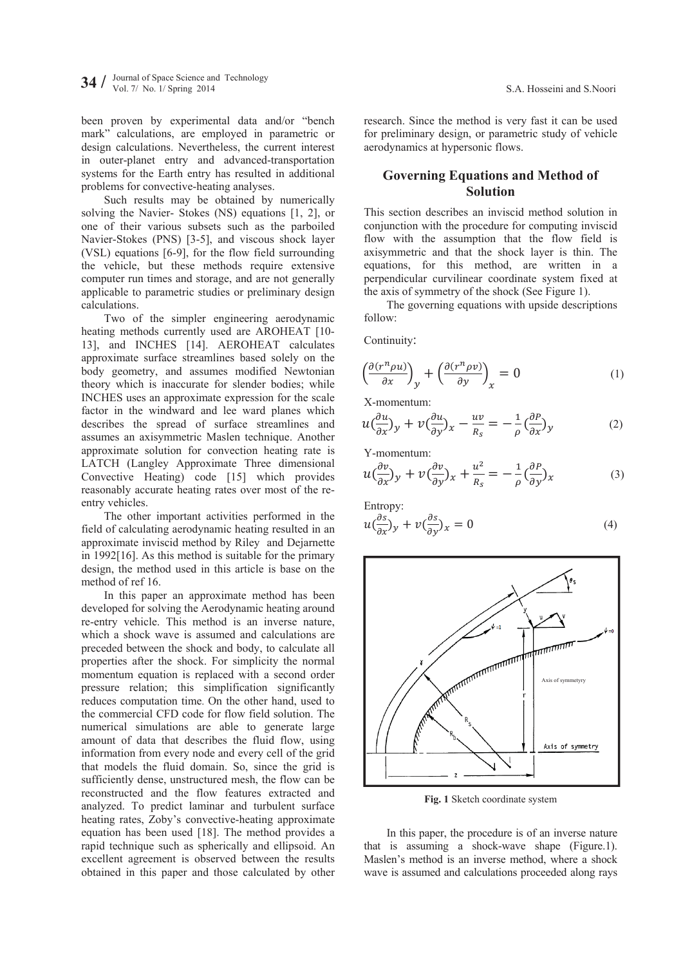been proven by experimental data and/or "bench mark" calculations, are employed in parametric or design calculations. Nevertheless, the current interest in outer-planet entry and advanced-transportation systems for the Earth entry has resulted in additional problems for convective-heating analyses.

Such results may be obtained by numerically solving the Navier- Stokes (NS) equations [1, 2], or one of their various subsets such as the parboiled Navier-Stokes (PNS) [3-5], and viscous shock layer (VSL) equations [6-9], for the flow field surrounding the vehicle, but these methods require extensive computer run times and storage, and are not generally applicable to parametric studies or preliminary design calculations.

Two of the simpler engineering aerodynamic heating methods currently used are AROHEAT [10- 13], and INCHES [14]. AEROHEAT calculates approximate surface streamlines based solely on the body geometry, and assumes modified Newtonian theory which is inaccurate for slender bodies; while INCHES uses an approximate expression for the scale factor in the windward and lee ward planes which describes the spread of surface streamlines and assumes an axisymmetric Maslen technique. Another approximate solution for convection heating rate is LATCH (Langley Approximate Three dimensional Convective Heating) code [15] which provides reasonably accurate heating rates over most of the reentry vehicles.

The other important activities performed in the field of calculating aerodynamic heating resulted in an approximate inviscid method by Riley and Dejarnette in 1992[16]. As this method is suitable for the primary design, the method used in this article is base on the method of ref 16.

In this paper an approximate method has been developed for solving the Aerodynamic heating around re-entry vehicle. This method is an inverse nature, which a shock wave is assumed and calculations are preceded between the shock and body, to calculate all properties after the shock. For simplicity the normal momentum equation is replaced with a second order pressure relation; this simplification significantly reduces computation time. On the other hand, used to the commercial CFD code for flow field solution. The numerical simulations are able to generate large amount of data that describes the fluid flow, using information from every node and every cell of the grid that models the fluid domain. So, since the grid is sufficiently dense, unstructured mesh, the flow can be reconstructed and the flow features extracted and analyzed. To predict laminar and turbulent surface heating rates, Zoby's convective-heating approximate equation has been used [18]. The method provides a rapid technique such as spherically and ellipsoid. An excellent agreement is observed between the results obtained in this paper and those calculated by other

research. Since the method is very fast it can be used for preliminary design, or parametric study of vehicle aerodynamics at hypersonic flows.

# **Governing Equations and Method of Solution**

This section describes an inviscid method solution in conjunction with the procedure for computing inviscid flow with the assumption that the flow field is axisymmetric and that the shock layer is thin. The equations, for this method, are written in a perpendicular curvilinear coordinate system fixed at the axis of symmetry of the shock (See Figure 1).

The governing equations with upside descriptions follow:

Continuity:

$$
\left(\frac{\partial(r^n \rho u)}{\partial x}\right)_y + \left(\frac{\partial(r^n \rho v)}{\partial y}\right)_x = 0 \tag{1}
$$

X-momentum:

$$
u\left(\frac{\partial u}{\partial x}\right)_y + v\left(\frac{\partial u}{\partial y}\right)_x - \frac{uv}{R_s} = -\frac{1}{\rho}\left(\frac{\partial P}{\partial x}\right)_y \tag{2}
$$

Y-momentum:

$$
u\left(\frac{\partial v}{\partial x}\right)_y + v\left(\frac{\partial v}{\partial y}\right)_x + \frac{u^2}{R_s} = -\frac{1}{\rho}\left(\frac{\partial P}{\partial y}\right)_x\tag{3}
$$

Entropy:  
\n
$$
u\left(\frac{\partial s}{\partial x}\right)y + v\left(\frac{\partial s}{\partial y}\right)x = 0
$$
\n(4)



**Fig. 1** Sketch coordinate system

In this paper, the procedure is of an inverse nature that is assuming a shock-wave shape (Figure.1). Maslen's method is an inverse method, where a shock wave is assumed and calculations proceeded along rays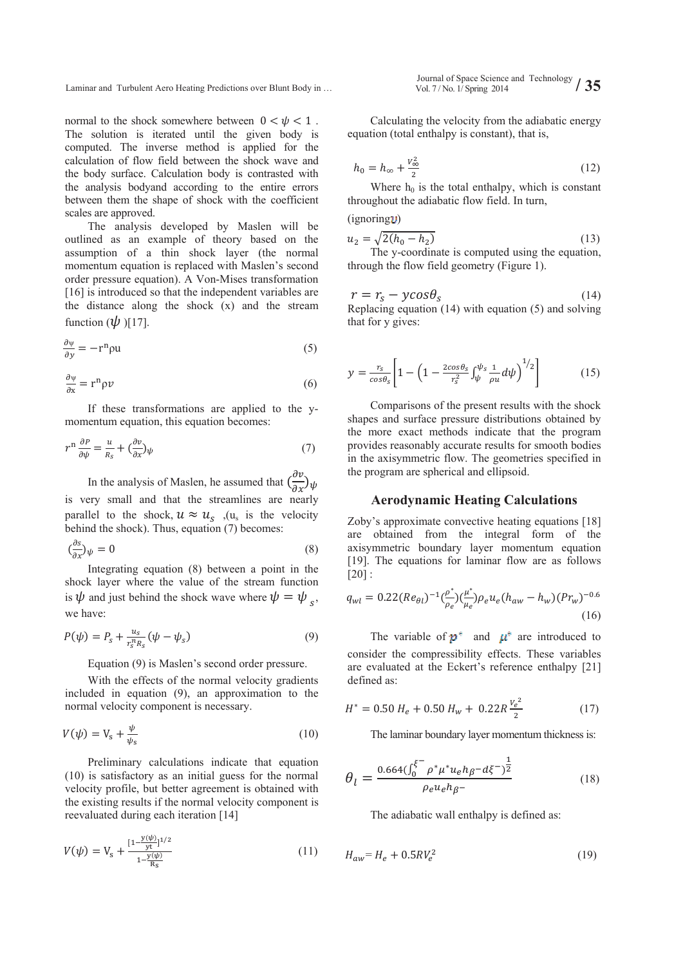normal to the shock somewhere between  $0 < \psi < 1$ . The solution is iterated until the given body is computed. The inverse method is applied for the calculation of flow field between the shock wave and the body surface. Calculation body is contrasted with the analysis bodyand according to the entire errors between them the shape of shock with the coefficient scales are approved.

The analysis developed by Maslen will be outlined as an example of theory based on the assumption of a thin shock layer (the normal momentum equation is replaced with Maslen's second order pressure equation). A Von-Mises transformation [16] is introduced so that the independent variables are the distance along the shock (x) and the stream function  $(\psi)$  [17].

$$
\frac{\partial \psi}{\partial y} = -\mathbf{r}^{\mathbf{n}} \rho \mathbf{u} \tag{5}
$$

$$
\frac{\partial \psi}{\partial x} = r^n \rho \nu \tag{6}
$$

If these transformations are applied to the ymomentum equation, this equation becomes:

$$
r^{n} \frac{\partial P}{\partial \psi} = \frac{u}{R_{s}} + \left(\frac{\partial v}{\partial x}\right)\psi
$$
 (7)

In the analysis of Maslen, he assumed that  $\left(\frac{\partial v}{\partial x}\right)\psi$ is very small and that the streamlines are nearly parallel to the shock,  $u \approx u_s$ ,  $(u_s$  is the velocity behind the shock). Thus, equation (7) becomes:

$$
\left(\frac{\partial s}{\partial x}\right)\psi = 0\tag{8}
$$

Integrating equation (8) between a point in the shock layer where the value of the stream function is  $\psi$  and just behind the shock wave where  $\psi = \psi$ . we have:

$$
P(\psi) = P_s + \frac{u_s}{r_s^n R_s} (\psi - \psi_s)
$$
 (9)

Equation (9) is Maslen's second order pressure.

With the effects of the normal velocity gradients included in equation (9), an approximation to the normal velocity component is necessary.

$$
V(\psi) = V_s + \frac{\psi}{\psi_s} \tag{10}
$$

Preliminary calculations indicate that equation (10) is satisfactory as an initial guess for the normal velocity profile, but better agreement is obtained with the existing results if the normal velocity component is reevaluated during each iteration [14]

$$
V(\psi) = V_s + \frac{[1 - \frac{y(\psi)}{yt}]}{1 - \frac{y(\psi)}{R_s}}
$$
(11)

Journal of Space Science and Technology Laminar and Turbulent Aero Heating Predictions over Blunt Body in … Vol. 7/ No. 1/ Spring 2014 **/ 35** 

> Calculating the velocity from the adiabatic energy equation (total enthalpy is constant), that is,

$$
h_0 = h_{\infty} + \frac{v_{\infty}^2}{2} \tag{12}
$$

Where  $h_0$  is the total enthalpy, which is constant throughout the adiabatic flow field. In turn,

 $(ignoring \mathbf{U})$ 

that for y gives:

$$
u_2 = \sqrt{2(h_0 - h_2)}
$$
 (13)  
The *y*-coordinate is computed using the equation

The y-coordinate is computed using the equation, through the flow field geometry (Figure 1).

$$
r = r_s - y\cos\theta_s
$$
 (14)  
Replacing equation (14) with equation (5) and solving

$$
y = \frac{r_s}{\cos \theta_s} \left[ 1 - \left( 1 - \frac{2 \cos \theta_s}{r_s^2} \int_{\psi}^{\psi_s} \frac{1}{\rho u} d\psi \right)^{1/2} \right] \tag{15}
$$

Comparisons of the present results with the shock shapes and surface pressure distributions obtained by the more exact methods indicate that the program provides reasonably accurate results for smooth bodies in the axisymmetric flow. The geometries specified in the program are spherical and ellipsoid.

## **Aerodynamic Heating Calculations**

Zoby's approximate convective heating equations [18] are obtained from the integral form of the axisymmetric boundary layer momentum equation [19]. The equations for laminar flow are as follows  $[20]$ :

$$
q_{wl} = 0.22(Re_{\theta l})^{-1} \frac{\rho^*}{\rho_e} \left(\frac{\mu^*}{\mu_e}\right) \rho_e u_e (h_{aw} - h_w) (Pr_w)^{-0.6}
$$
\n(16)

The variable of  $p^*$  and  $\mu^*$  are introduced to consider the compressibility effects. These variables are evaluated at the Eckert's reference enthalpy [21] defined as:

$$
H^* = 0.50 \, H_e + 0.50 \, H_w + 0.22R \frac{v_e^2}{2} \tag{17}
$$

The laminar boundary layer momentum thickness is:

$$
\theta_{l} = \frac{0.664(\int_{0}^{\xi^{-}} \rho^{*} \mu^{*} u_{e} h_{\beta} - d\xi^{-})^{\frac{1}{2}}}{\rho_{e} u_{e} h_{\beta^{-}}} \tag{18}
$$

The adiabatic wall enthalpy is defined as:

$$
H_{aw} = H_e + 0.5RV_e^2\tag{19}
$$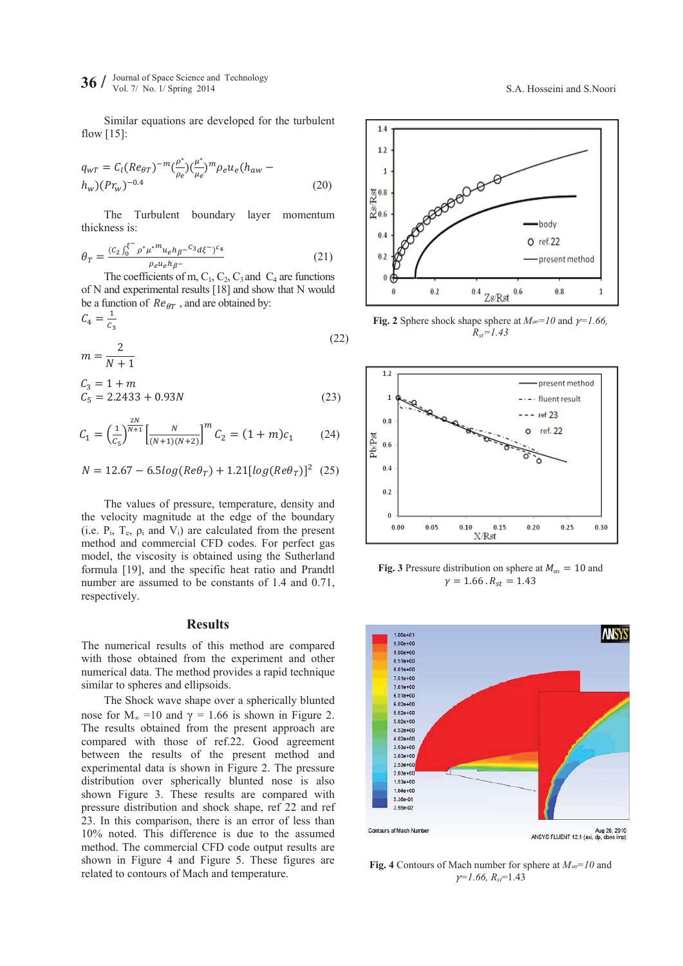**36**  $\ell$  Journal of Space Science and Technology **36**  $\ell$  Vol. 7/ No. 1/ Spring 2014 *S.Noori S.A. Hosseini and S.Noori* 

Similar equations are developed for the turbulent flow [15]:

$$
q_{wT} = C_l (Re_{\theta T})^{-m} \left(\frac{\rho^*}{\rho_e}\right) \left(\frac{\mu^*}{\mu_e}\right)^m \rho_e u_e (h_{aw} - h_w) (Pr_w)^{-0.4}
$$
\n(20)

The Turbulent boundary layer momentum thickness is:

$$
\theta_T = \frac{(c_2 \int_0^{\xi^-} \rho^* \mu^{*m} u_e h_{\beta^-} c_3 d\xi^-)^{c_4}}{\rho_e u_e h_{\beta^-}}
$$
(21)

The coefficients of m,  $C_1$ ,  $C_2$ ,  $C_3$  and  $C_4$  are functions of N and experimental results [18] and show that N would be a function of  $Re_{\theta T}$ , and are obtained by:

$$
C_4 = \frac{1}{c_3}
$$
  

$$
m = \frac{2}{N+1}
$$
 (22)

$$
C_3 = 1 + m
$$
  
\n
$$
C_5 = 2.2433 + 0.93N
$$
 (23)

$$
C_1 = \left(\frac{1}{c_5}\right)^{\frac{2N}{N+1}} \left[\frac{N}{(N+1)(N+2)}\right]^m C_2 = (1+m)c_1 \qquad (24)
$$

$$
N=12.67-6.5log(Re\theta_T)+1.21[log(Re\theta_T)]^2~~(25)
$$

The values of pressure, temperature, density and the velocity magnitude at the edge of the boundary (i.e.  $P_i$ ,  $T_e$ ,  $\rho_i$  and  $V_i$ ) are calculated from the present method and commercial CFD codes. For perfect gas model, the viscosity is obtained using the Sutherland formula [19], and the specific heat ratio and Prandtl number are assumed to be constants of 1.4 and 0.71, respectively.

#### **Results**

The numerical results of this method are compared with those obtained from the experiment and other numerical data. The method provides a rapid technique similar to spheres and ellipsoids.

The Shock wave shape over a spherically blunted nose for  $M_{\infty}$  =10 and  $\gamma$  = 1.66 is shown in Figure 2. The results obtained from the present approach are compared with those of ref.22. Good agreement between the results of the present method and experimental data is shown in Figure 2. The pressure distribution over spherically blunted nose is also shown Figure 3. These results are compared with pressure distribution and shock shape, ref 22 and ref 23. In this comparison, there is an error of less than 10% noted. This difference is due to the assumed method. The commercial CFD code output results are shown in Figure 4 and Figure 5. These figures are related to contours of Mach and temperature.



**Fig. 2** Sphere shock shape sphere at  $M \approx 10$  and  $\gamma = 1.66$ ,  $R_{st} = 1.43$ 



**Fig. 3** Pressure distribution on sphere at  $M_{\infty} = 10$  and  $\gamma = 1.66 \cdot R_{st} = 1.43$ 



**Fig. 4** Contours of Mach number for sphere at  $M_{\infty}=10$  and  $\gamma$ <sup>=1.66, R<sub>st</sub><sup>=1.43</sup></sup>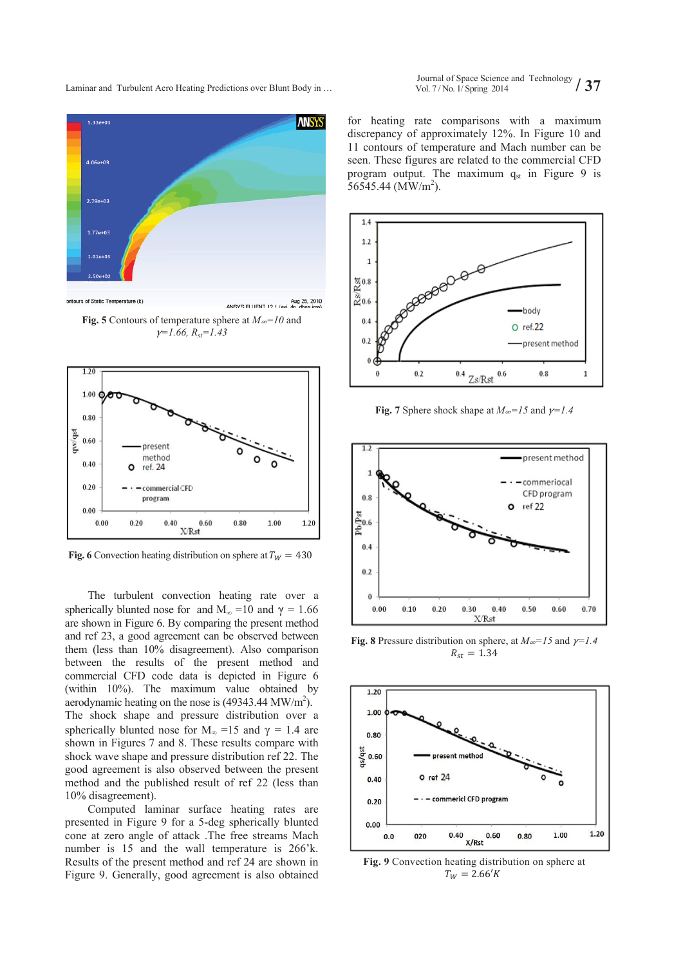

**Fig. 5** Contours of temperature sphere at  $M \approx 10$  and  $\gamma=1.66$ ,  $R_{st}=1.43$ 



**Fig. 6** Convection heating distribution on sphere at  $T_W = 430$ 

The turbulent convection heating rate over a spherically blunted nose for and  $M_{\infty}$  =10 and  $\gamma$  = 1.66 are shown in Figure 6. By comparing the present method and ref 23, a good agreement can be observed between them (less than 10% disagreement). Also comparison between the results of the present method and commercial CFD code data is depicted in Figure 6 (within 10%). The maximum value obtained by aerodynamic heating on the nose is  $(49343.44 \text{ MW/m}^2)$ . The shock shape and pressure distribution over a spherically blunted nose for  $M_{\infty}$  =15 and  $\gamma$  = 1.4 are shown in Figures 7 and 8. These results compare with shock wave shape and pressure distribution ref 22. The good agreement is also observed between the present method and the published result of ref 22 (less than 10% disagreement).

Computed laminar surface heating rates are presented in Figure 9 for a 5-deg spherically blunted cone at zero angle of attack .The free streams Mach number is 15 and the wall temperature is 266'k. Results of the present method and ref 24 are shown in Figure 9. Generally, good agreement is also obtained

Journal of Space Science and Technology Laminar and Turbulent Aero Heating Predictions over Blunt Body in … Vol. 7/ No. 1/ Spring 2014 **/ 37 / 37** 

> for heating rate comparisons with a maximum discrepancy of approximately 12%. In Figure 10 and 11 contours of temperature and Mach number can be seen. These figures are related to the commercial CFD program output. The maximum  $q_{st}$  in Figure 9 is  $56545.44$  (MW/m<sup>2</sup>).



**Fig. 7** Sphere shock shape at  $M \approx -15$  and  $\gamma = 1.4$ 



**Fig. 8** Pressure distribution on sphere, at  $M \approx -15$  and  $\gamma = 1.4$  $R_{st} = 1.34$ 



**Fig. 9** Convection heating distribution on sphere at  $T_W = 2.66'K$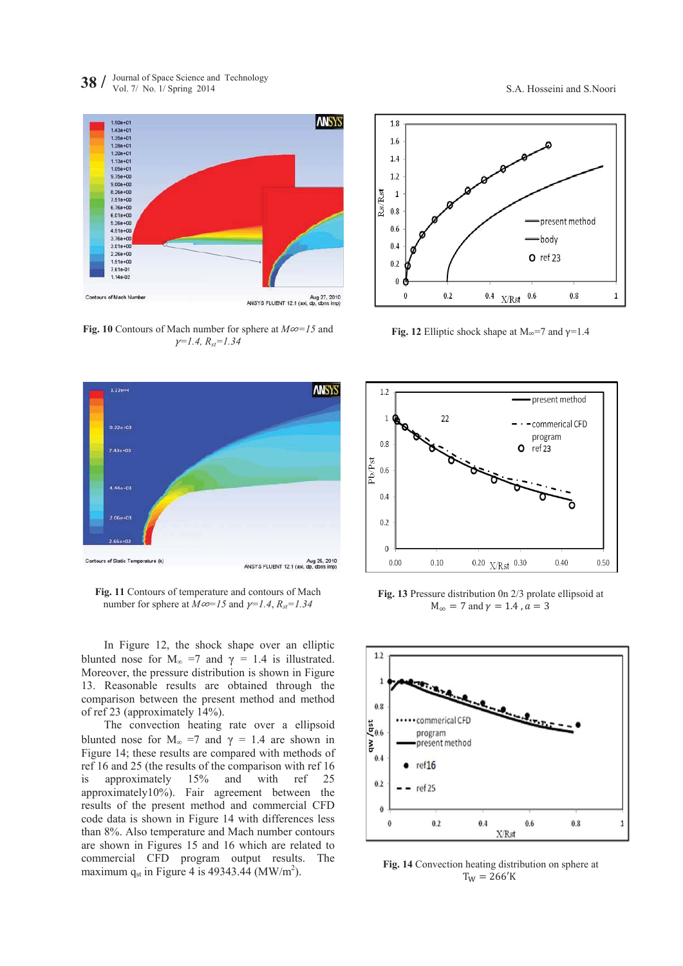



**Fig. 10** Contours of Mach number for sphere at  $M\infty=15$  and  $\gamma$ <sup> $=$ </sup>*I.4,*  $R_{st}$ <sup> $=$ </sup>*I.34* 



**Fig. 11** Contours of temperature and contours of Mach number for sphere at  $M\infty=15$  and  $\gamma=1.4$ ,  $R_{st}=1.34$ 

In Figure 12, the shock shape over an elliptic blunted nose for  $M_{\infty}$  =7 and  $\gamma$  = 1.4 is illustrated. Moreover, the pressure distribution is shown in Figure 13. Reasonable results are obtained through the comparison between the present method and method of ref 23 (approximately 14%).

The convection heating rate over a ellipsoid blunted nose for  $M_{\infty}$  =7 and  $\gamma$  = 1.4 are shown in Figure 14; these results are compared with methods of ref 16 and 25 (the results of the comparison with ref 16 is approximately 15% and with ref 25 approximately10%). Fair agreement between the results of the present method and commercial CFD code data is shown in Figure 14 with differences less than 8%. Also temperature and Mach number contours are shown in Figures 15 and 16 which are related to commercial CFD program output results. The maximum  $q_{st}$  in Figure 4 is 49343.44 (MW/m<sup>2</sup>).



**Fig. 12** Elliptic shock shape at  $M_{\infty}$ =7 and  $\gamma$ =1.4



**Fig. 13** Pressure distribution 0n 2/3 prolate ellipsoid at  $M_{\infty} = 7$  and  $\gamma = 1.4$  ,  $a = 3$ 



**Fig. 14** Convection heating distribution on sphere at  $T_W = 266'K$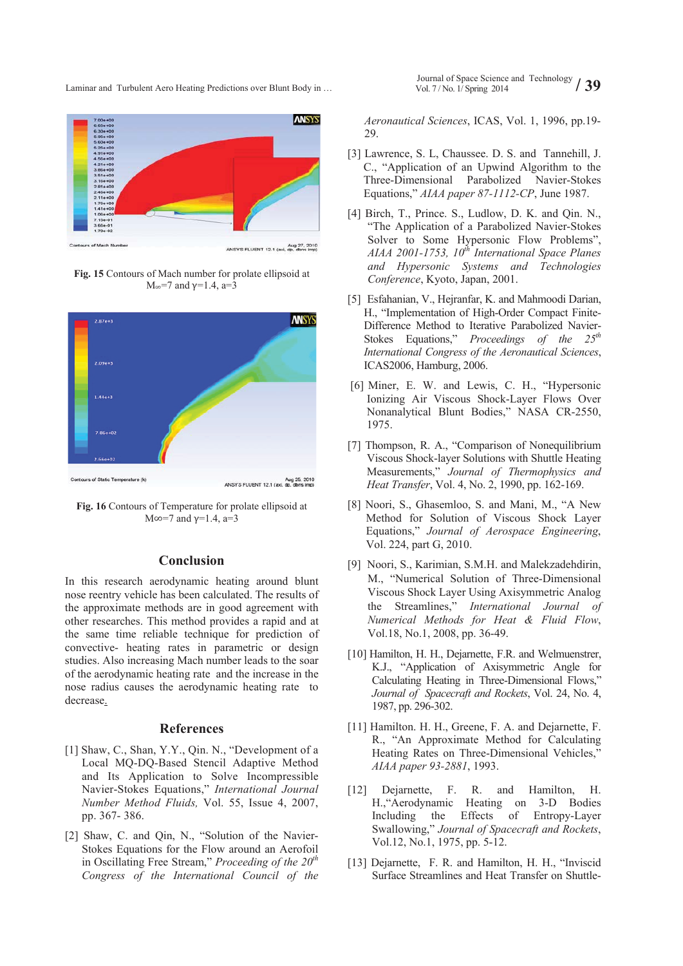

Aug 27, 2010<br>ANSYS FLUENT 12.1 (axi, dp, dbns imp)

**Fig. 15** Contours of Mach number for prolate ellipsoid at  $M_{\infty}$ =7 and γ=1.4, a=3





#### **Conclusion**

In this research aerodynamic heating around blunt nose reentry vehicle has been calculated. The results of the approximate methods are in good agreement with other researches. This method provides a rapid and at the same time reliable technique for prediction of convective- heating rates in parametric or design studies. Also increasing Mach number leads to the soar of the aerodynamic heating rate and the increase in the nose radius causes the aerodynamic heating rate to decrease.

# **References**

- [1] Shaw, C., Shan, Y.Y., Qin. N., "Development of a Local MQ-DQ-Based Stencil Adaptive Method and Its Application to Solve Incompressible Navier-Stokes Equations," *International Journal Number Method Fluids,* Vol. 55, Issue 4, 2007, pp. 367- 386.
- [2] Shaw, C. and Qin, N., "Solution of the Navier-Stokes Equations for the Flow around an Aerofoil in Oscillating Free Stream," *Proceeding of the 20th Congress of the International Council of the*

Journal of Space Science and Technology Laminar and Turbulent Aero Heating Predictions over Blunt Body in … Vol. 7/ No. 1/ Spring 2014 **/ 39 / 39** 

> *Aeronautical Sciences*, ICAS, Vol. 1, 1996, pp.19- 29.

- [3] Lawrence, S. L, Chaussee. D. S. and Tannehill, J. C., "Application of an Upwind Algorithm to the Three-Dimensional Parabolized Navier-Stokes Equations," *AIAA paper 87-1112-CP*, June 1987.
- [4] Birch, T., Prince. S., Ludlow, D. K. and Qin. N., "The Application of a Parabolized Navier-Stokes Solver to Some Hypersonic Flow Problems", *AIAA 2001-1753, 10th International Space Planes and Hypersonic Systems and Technologies Conference*, Kyoto, Japan, 2001.
- [5] Esfahanian, V., Hejranfar, K. and Mahmoodi Darian, H., "Implementation of High-Order Compact Finite-Difference Method to Iterative Parabolized Navier-Stokes Equations," *Proceedings of the 25th International Congress of the Aeronautical Sciences*, ICAS2006, Hamburg, 2006.
- [6] Miner, E. W. and Lewis, C. H., "Hypersonic Ionizing Air Viscous Shock-Layer Flows Over Nonanalytical Blunt Bodies," NASA CR-2550, 1975.
- [7] Thompson, R. A., "Comparison of Nonequilibrium Viscous Shock-layer Solutions with Shuttle Heating Measurements," *Journal of Thermophysics and Heat Transfer*, Vol. 4, No. 2, 1990, pp. 162-169.
- [8] Noori, S., Ghasemloo, S. and Mani, M., "A New Method for Solution of Viscous Shock Layer Equations," *Journal of Aerospace Engineering*, Vol. 224, part G, 2010.
- [9] Noori, S., Karimian, S.M.H. and Malekzadehdirin, M., "Numerical Solution of Three-Dimensional Viscous Shock Layer Using Axisymmetric Analog the Streamlines," *International Journal of Numerical Methods for Heat & Fluid Flow*, Vol.18, No.1, 2008, pp. 36-49.
- [10] Hamilton, H. H., Dejarnette, F.R. and Welmuenstrer, K.J., "Application of Axisymmetric Angle for Calculating Heating in Three-Dimensional Flows," *Journal of Spacecraft and Rockets*, Vol. 24, No. 4, 1987, pp. 296-302.
- [11] Hamilton. H. H., Greene, F. A. and Dejarnette, F. R., "An Approximate Method for Calculating Heating Rates on Three-Dimensional Vehicles,' *AIAA paper 93-2881*, 1993.
- [12] Dejarnette, F. R. and Hamilton, H. H.,"Aerodynamic Heating on 3-D Bodies Including the Effects of Entropy-Layer Swallowing," *Journal of Spacecraft and Rockets*, Vol.12, No.1, 1975, pp. 5-12.
- [13] Dejarnette, F. R. and Hamilton, H. H., "Inviscid" Surface Streamlines and Heat Transfer on Shuttle-